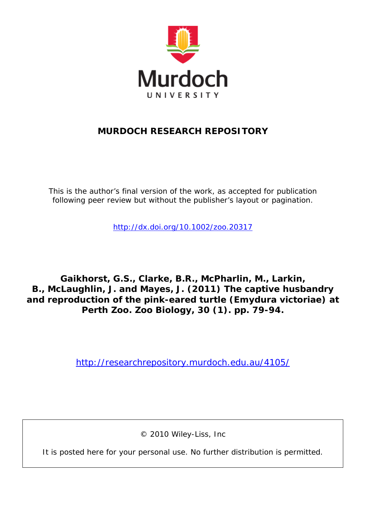

# **MURDOCH RESEARCH REPOSITORY**

*This is the author's final version of the work, as accepted for publication following peer review but without the publisher's layout or pagination.*

<http://dx.doi.org/10.1002/zoo.20317>

**Gaikhorst, G.S., Clarke, B.R., McPharlin, M., Larkin, B., McLaughlin, J. and Mayes, J. (2011)** *The captive husbandry and reproduction of the pink-eared turtle (Emydura victoriae) at Perth Zoo.* **Zoo Biology, 30 (1). pp. 79-94.**

<http://researchrepository.murdoch.edu.au/4105/>

© 2010 Wiley-Liss, Inc

It is posted here for your personal use. No further distribution is permitted.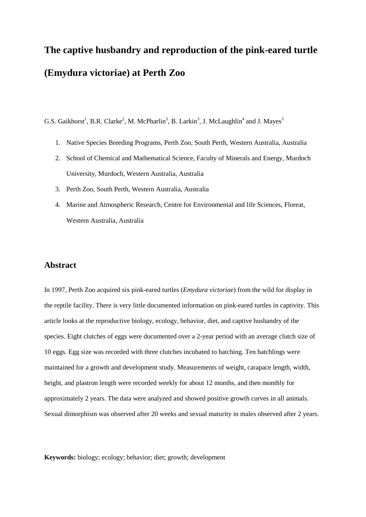# **The captive husbandry and reproduction of the pink-eared turtle (Emydura victoriae) at Perth Zoo**

G.S. Gaikhorst<sup>1</sup>, B.R. Clarke<sup>2</sup>, M. McPharlin<sup>3</sup>, B. Larkin<sup>3</sup>, J. McLaughlin<sup>4</sup> and J. Mayes<sup>3</sup>

- 1. Native Species Breeding Programs, Perth Zoo, South Perth, Western Australia, Australia
- 2. School of Chemical and Mathematical Science, Faculty of Minerals and Energy, Murdoch University, Murdoch, Western Australia, Australia
- 3. Perth Zoo, South Perth, Western Australia, Australia
- 4. Marine and Atmospheric Research, Centre for Environmental and life Sciences, Floreat, Western Australia, Australia

# **Abstract**

In 1997, Perth Zoo acquired six pink-eared turtles (*Emydura victoriae*) from the wild for display in the reptile facility. There is very little documented information on pink-eared turtles in captivity. This article looks at the reproductive biology, ecology, behavior, diet, and captive husbandry of the species. Eight clutches of eggs were documented over a 2-year period with an average clutch size of 10 eggs. Egg size was recorded with three clutches incubated to hatching. Ten hatchlings were maintained for a growth and development study. Measurements of weight, carapace length, width, height, and plastron length were recorded weekly for about 12 months, and then monthly for approximately 2 years. The data were analyzed and showed positive growth curves in all animals. Sexual dimorphism was observed after 20 weeks and sexual maturity in males observed after 2 years.

**Keywords:** biology; ecology; behavior; diet; growth; development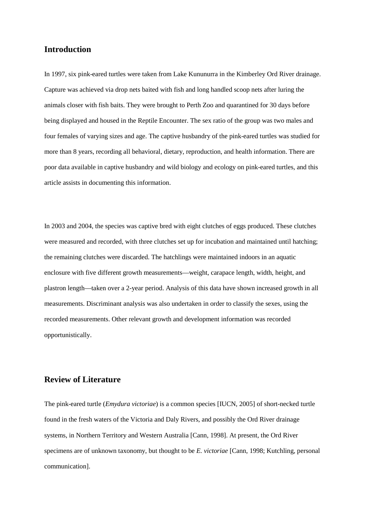# **Introduction**

In 1997, six pink-eared turtles were taken from Lake Kununurra in the Kimberley Ord River drainage. Capture was achieved via drop nets baited with fish and long handled scoop nets after luring the animals closer with fish baits. They were brought to Perth Zoo and quarantined for 30 days before being displayed and housed in the Reptile Encounter. The sex ratio of the group was two males and four females of varying sizes and age. The captive husbandry of the pink-eared turtles was studied for more than 8 years, recording all behavioral, dietary, reproduction, and health information. There are poor data available in captive husbandry and wild biology and ecology on pink-eared turtles, and this article assists in documenting this information.

In 2003 and 2004, the species was captive bred with eight clutches of eggs produced. These clutches were measured and recorded, with three clutches set up for incubation and maintained until hatching; the remaining clutches were discarded. The hatchlings were maintained indoors in an aquatic enclosure with five different growth measurements—weight, carapace length, width, height, and plastron length—taken over a 2-year period. Analysis of this data have shown increased growth in all measurements. Discriminant analysis was also undertaken in order to classify the sexes, using the recorded measurements. Other relevant growth and development information was recorded opportunistically.

# **Review of Literature**

The pink-eared turtle (*Emydura victoriae*) is a common species [IUCN, 2005] of short-necked turtle found in the fresh waters of the Victoria and Daly Rivers, and possibly the Ord River drainage systems, in Northern Territory and Western Australia [Cann, 1998]. At present, the Ord River specimens are of unknown taxonomy, but thought to be *E. victoriae* [Cann, 1998; Kutchling, personal communication].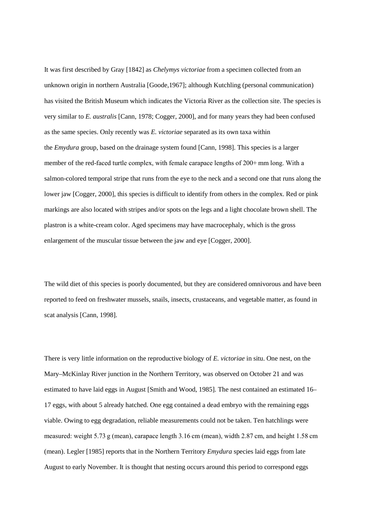It was first described by Gray [1842] as *Chelymys victoriae* from a specimen collected from an unknown origin in northern Australia [Goode,1967]; although Kutchling (personal communication) has visited the British Museum which indicates the Victoria River as the collection site. The species is very similar to *E. australis* [Cann, 1978; Cogger, 2000], and for many years they had been confused as the same species. Only recently was *E. victoriae* separated as its own taxa within the *Emydura* group, based on the drainage system found [Cann, 1998]. This species is a larger member of the red-faced turtle complex, with female carapace lengths of 200+ mm long. With a salmon-colored temporal stripe that runs from the eye to the neck and a second one that runs along the lower jaw [Cogger, 2000], this species is difficult to identify from others in the complex. Red or pink markings are also located with stripes and/or spots on the legs and a light chocolate brown shell. The plastron is a white-cream color. Aged specimens may have macrocephaly, which is the gross enlargement of the muscular tissue between the jaw and eye [Cogger, 2000].

The wild diet of this species is poorly documented, but they are considered omnivorous and have been reported to feed on freshwater mussels, snails, insects, crustaceans, and vegetable matter, as found in scat analysis [Cann, 1998].

There is very little information on the reproductive biology of *E. victoriae* in situ. One nest, on the Mary–McKinlay River junction in the Northern Territory, was observed on October 21 and was estimated to have laid eggs in August [Smith and Wood, 1985]. The nest contained an estimated 16– 17 eggs, with about 5 already hatched. One egg contained a dead embryo with the remaining eggs viable. Owing to egg degradation, reliable measurements could not be taken. Ten hatchlings were measured: weight 5.73 g (mean), carapace length 3.16 cm (mean), width 2.87 cm, and height 1.58 cm (mean). Legler [1985] reports that in the Northern Territory *Emydura* species laid eggs from late August to early November. It is thought that nesting occurs around this period to correspond eggs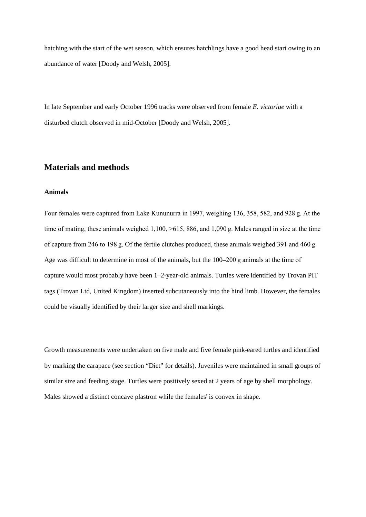hatching with the start of the wet season, which ensures hatchlings have a good head start owing to an abundance of water [Doody and Welsh, 2005].

In late September and early October 1996 tracks were observed from female *E. victoriae* with a disturbed clutch observed in mid-October [Doody and Welsh, 2005].

# **Materials and methods**

## **Animals**

Four females were captured from Lake Kununurra in 1997, weighing 136, 358, 582, and 928 g. At the time of mating, these animals weighed 1,100, >615, 886, and 1,090 g. Males ranged in size at the time of capture from 246 to 198 g. Of the fertile clutches produced, these animals weighed 391 and 460 g. Age was difficult to determine in most of the animals, but the 100–200 g animals at the time of capture would most probably have been 1–2-year-old animals. Turtles were identified by Trovan PIT tags (Trovan Ltd, United Kingdom) inserted subcutaneously into the hind limb. However, the females could be visually identified by their larger size and shell markings.

Growth measurements were undertaken on five male and five female pink-eared turtles and identified by marking the carapace (see section "Diet" for details). Juveniles were maintained in small groups of similar size and feeding stage. Turtles were positively sexed at 2 years of age by shell morphology. Males showed a distinct concave plastron while the females' is convex in shape.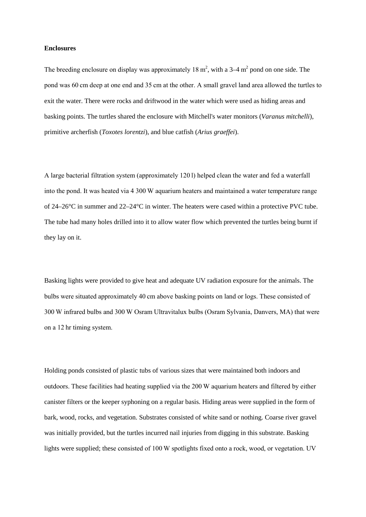#### **Enclosures**

The breeding enclosure on display was approximately 18  $m^2$ , with a 3–4  $m^2$  pond on one side. The pond was 60 cm deep at one end and 35 cm at the other. A small gravel land area allowed the turtles to exit the water. There were rocks and driftwood in the water which were used as hiding areas and basking points. The turtles shared the enclosure with Mitchell's water monitors (*Varanus mitchelli*), primitive archerfish (*Toxotes lorentzi*), and blue catfish (*Arius graeffei*).

A large bacterial filtration system (approximately 120 l) helped clean the water and fed a waterfall into the pond. It was heated via 4 300 W aquarium heaters and maintained a water temperature range of 24–26°C in summer and 22–24°C in winter. The heaters were cased within a protective PVC tube. The tube had many holes drilled into it to allow water flow which prevented the turtles being burnt if they lay on it.

Basking lights were provided to give heat and adequate UV radiation exposure for the animals. The bulbs were situated approximately 40 cm above basking points on land or logs. These consisted of 300 W infrared bulbs and 300 W Osram Ultravitalux bulbs (Osram Sylvania, Danvers, MA) that were on a 12 hr timing system.

Holding ponds consisted of plastic tubs of various sizes that were maintained both indoors and outdoors. These facilities had heating supplied via the 200 W aquarium heaters and filtered by either canister filters or the keeper syphoning on a regular basis. Hiding areas were supplied in the form of bark, wood, rocks, and vegetation. Substrates consisted of white sand or nothing. Coarse river gravel was initially provided, but the turtles incurred nail injuries from digging in this substrate. Basking lights were supplied; these consisted of 100 W spotlights fixed onto a rock, wood, or vegetation. UV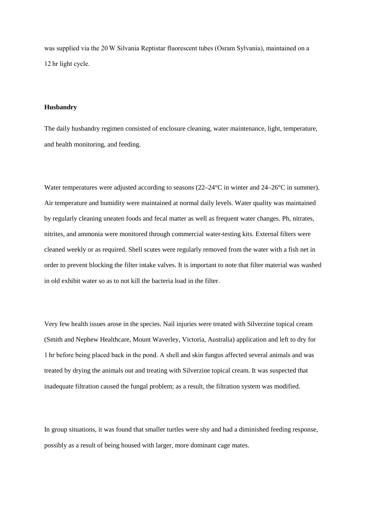was supplied via the 20 W Silvania Reptistar fluorescent tubes (Osram Sylvania), maintained on a 12 hr light cycle.

## **Husbandry**

The daily husbandry regimen consisted of enclosure cleaning, water maintenance, light, temperature, and health monitoring, and feeding.

Water temperatures were adjusted according to seasons  $(22-24^{\circ}C \text{ in winter and } 24-26^{\circ}C \text{ in summer}).$ Air temperature and humidity were maintained at normal daily levels. Water quality was maintained by regularly cleaning uneaten foods and fecal matter as well as frequent water changes. Ph, nitrates, nitrites, and ammonia were monitored through commercial water-testing kits. External filters were cleaned weekly or as required. Shell scutes were regularly removed from the water with a fish net in order to prevent blocking the filter intake valves. It is important to note that filter material was washed in old exhibit water so as to not kill the bacteria load in the filter.

Very few health issues arose in the species. Nail injuries were treated with Silverzine topical cream (Smith and Nephew Healthcare, Mount Waverley, Victoria, Australia) application and left to dry for 1 hr before being placed back in the pond. A shell and skin fungus affected several animals and was treated by drying the animals out and treating with Silverzine topical cream. It was suspected that inadequate filtration caused the fungal problem; as a result, the filtration system was modified.

In group situations, it was found that smaller turtles were shy and had a diminished feeding response, possibly as a result of being housed with larger, more dominant cage mates.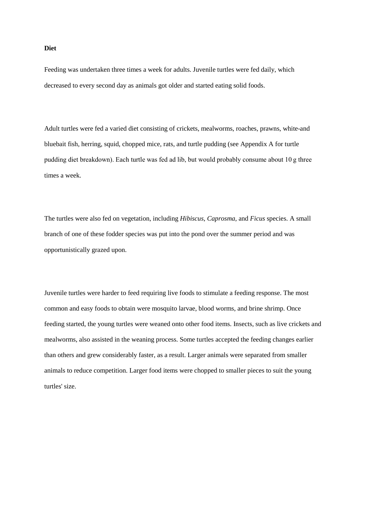#### **Diet**

Feeding was undertaken three times a week for adults. Juvenile turtles were fed daily, which decreased to every second day as animals got older and started eating solid foods.

Adult turtles were fed a varied diet consisting of crickets, mealworms, roaches, prawns, white-and bluebait fish, herring, squid, chopped mice, rats, and turtle pudding (see Appendix A for turtle pudding diet breakdown). Each turtle was fed ad lib, but would probably consume about 10 g three times a week.

The turtles were also fed on vegetation, including *Hibiscus*, *Caprosma*, and *Ficus* species. A small branch of one of these fodder species was put into the pond over the summer period and was opportunistically grazed upon.

Juvenile turtles were harder to feed requiring live foods to stimulate a feeding response. The most common and easy foods to obtain were mosquito larvae, blood worms, and brine shrimp. Once feeding started, the young turtles were weaned onto other food items. Insects, such as live crickets and mealworms, also assisted in the weaning process. Some turtles accepted the feeding changes earlier than others and grew considerably faster, as a result. Larger animals were separated from smaller animals to reduce competition. Larger food items were chopped to smaller pieces to suit the young turtles' size.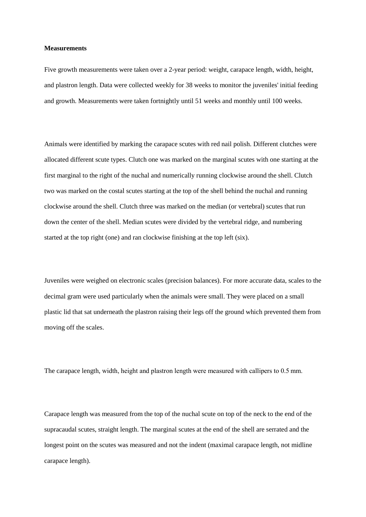#### **Measurements**

Five growth measurements were taken over a 2-year period: weight, carapace length, width, height, and plastron length. Data were collected weekly for 38 weeks to monitor the juveniles' initial feeding and growth. Measurements were taken fortnightly until 51 weeks and monthly until 100 weeks.

Animals were identified by marking the carapace scutes with red nail polish. Different clutches were allocated different scute types. Clutch one was marked on the marginal scutes with one starting at the first marginal to the right of the nuchal and numerically running clockwise around the shell. Clutch two was marked on the costal scutes starting at the top of the shell behind the nuchal and running clockwise around the shell. Clutch three was marked on the median (or vertebral) scutes that run down the center of the shell. Median scutes were divided by the vertebral ridge, and numbering started at the top right (one) and ran clockwise finishing at the top left (six).

Juveniles were weighed on electronic scales (precision balances). For more accurate data, scales to the decimal gram were used particularly when the animals were small. They were placed on a small plastic lid that sat underneath the plastron raising their legs off the ground which prevented them from moving off the scales.

The carapace length, width, height and plastron length were measured with callipers to 0.5 mm.

Carapace length was measured from the top of the nuchal scute on top of the neck to the end of the supracaudal scutes, straight length. The marginal scutes at the end of the shell are serrated and the longest point on the scutes was measured and not the indent (maximal carapace length, not midline carapace length).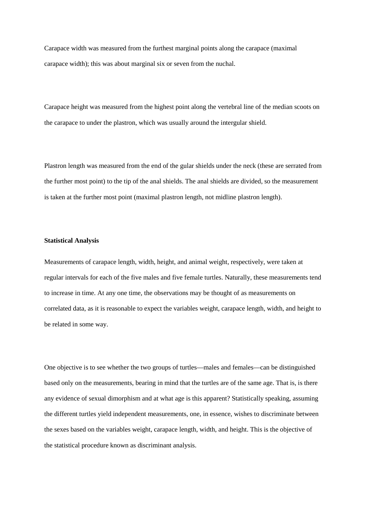Carapace width was measured from the furthest marginal points along the carapace (maximal carapace width); this was about marginal six or seven from the nuchal.

Carapace height was measured from the highest point along the vertebral line of the median scoots on the carapace to under the plastron, which was usually around the intergular shield.

Plastron length was measured from the end of the gular shields under the neck (these are serrated from the further most point) to the tip of the anal shields. The anal shields are divided, so the measurement is taken at the further most point (maximal plastron length, not midline plastron length).

### **Statistical Analysis**

Measurements of carapace length, width, height, and animal weight, respectively, were taken at regular intervals for each of the five males and five female turtles. Naturally, these measurements tend to increase in time. At any one time, the observations may be thought of as measurements on correlated data, as it is reasonable to expect the variables weight, carapace length, width, and height to be related in some way.

One objective is to see whether the two groups of turtles—males and females—can be distinguished based only on the measurements, bearing in mind that the turtles are of the same age. That is, is there any evidence of sexual dimorphism and at what age is this apparent? Statistically speaking, assuming the different turtles yield independent measurements, one, in essence, wishes to discriminate between the sexes based on the variables weight, carapace length, width, and height. This is the objective of the statistical procedure known as discriminant analysis.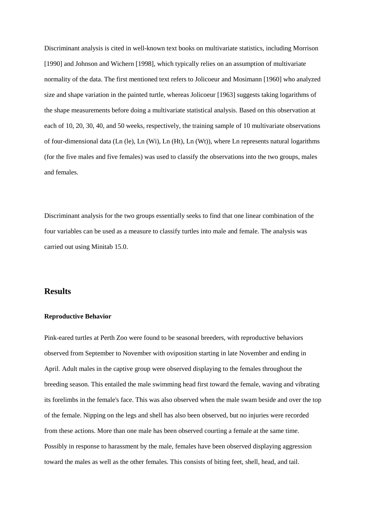Discriminant analysis is cited in well-known text books on multivariate statistics, including Morrison [1990] and Johnson and Wichern [1998], which typically relies on an assumption of multivariate normality of the data. The first mentioned text refers to Jolicoeur and Mosimann [1960] who analyzed size and shape variation in the painted turtle, whereas Jolicoeur [1963] suggests taking logarithms of the shape measurements before doing a multivariate statistical analysis. Based on this observation at each of 10, 20, 30, 40, and 50 weeks, respectively, the training sample of 10 multivariate observations of four-dimensional data (Ln (le), Ln (Wi), Ln (Ht), Ln (Wt)), where Ln represents natural logarithms (for the five males and five females) was used to classify the observations into the two groups, males and females.

Discriminant analysis for the two groups essentially seeks to find that one linear combination of the four variables can be used as a measure to classify turtles into male and female. The analysis was carried out using Minitab 15.0.

# **Results**

#### **Reproductive Behavior**

Pink-eared turtles at Perth Zoo were found to be seasonal breeders, with reproductive behaviors observed from September to November with oviposition starting in late November and ending in April. Adult males in the captive group were observed displaying to the females throughout the breeding season. This entailed the male swimming head first toward the female, waving and vibrating its forelimbs in the female's face. This was also observed when the male swam beside and over the top of the female. Nipping on the legs and shell has also been observed, but no injuries were recorded from these actions. More than one male has been observed courting a female at the same time. Possibly in response to harassment by the male, females have been observed displaying aggression toward the males as well as the other females. This consists of biting feet, shell, head, and tail.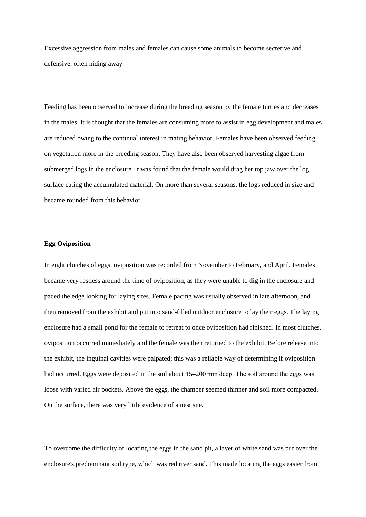Excessive aggression from males and females can cause some animals to become secretive and defensive, often hiding away.

Feeding has been observed to increase during the breeding season by the female turtles and decreases in the males. It is thought that the females are consuming more to assist in egg development and males are reduced owing to the continual interest in mating behavior. Females have been observed feeding on vegetation more in the breeding season. They have also been observed harvesting algae from submerged logs in the enclosure. It was found that the female would drag her top jaw over the log surface eating the accumulated material. On more than several seasons, the logs reduced in size and became rounded from this behavior.

#### **Egg Oviposition**

In eight clutches of eggs, oviposition was recorded from November to February, and April. Females became very restless around the time of oviposition, as they were unable to dig in the enclosure and paced the edge looking for laying sites. Female pacing was usually observed in late afternoon, and then removed from the exhibit and put into sand-filled outdoor enclosure to lay their eggs. The laying enclosure had a small pond for the female to retreat to once oviposition had finished. In most clutches, oviposition occurred immediately and the female was then returned to the exhibit. Before release into the exhibit, the inguinal cavities were palpated; this was a reliable way of determining if oviposition had occurred. Eggs were deposited in the soil about 15–200 mm deep. The soil around the eggs was loose with varied air pockets. Above the eggs, the chamber seemed thinner and soil more compacted. On the surface, there was very little evidence of a nest site.

To overcome the difficulty of locating the eggs in the sand pit, a layer of white sand was put over the enclosure's predominant soil type, which was red river sand. This made locating the eggs easier from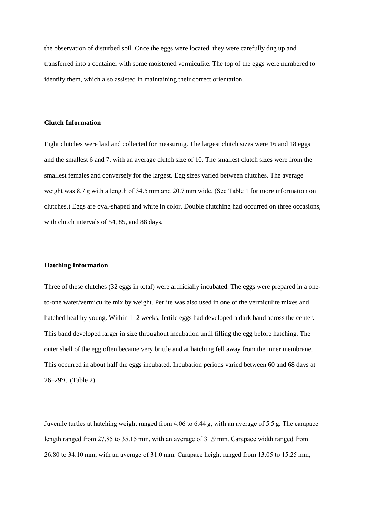the observation of disturbed soil. Once the eggs were located, they were carefully dug up and transferred into a container with some moistened vermiculite. The top of the eggs were numbered to identify them, which also assisted in maintaining their correct orientation.

#### **Clutch Information**

Eight clutches were laid and collected for measuring. The largest clutch sizes were 16 and 18 eggs and the smallest 6 and 7, with an average clutch size of 10. The smallest clutch sizes were from the smallest females and conversely for the largest. Egg sizes varied between clutches. The average weight was 8.7 g with a length of 34.5 mm and 20.7 mm wide. (See Table [1](http://onlinelibrary.wiley.com/doi/10.1002/zoo.20317/full#tbl1) for more information on clutches.) Eggs are oval-shaped and white in color. Double clutching had occurred on three occasions, with clutch intervals of 54, 85, and 88 days.

#### **Hatching Information**

Three of these clutches (32 eggs in total) were artificially incubated. The eggs were prepared in a oneto-one water/vermiculite mix by weight. Perlite was also used in one of the vermiculite mixes and hatched healthy young. Within 1–2 weeks, fertile eggs had developed a dark band across the center. This band developed larger in size throughout incubation until filling the egg before hatching. The outer shell of the egg often became very brittle and at hatching fell away from the inner membrane. This occurred in about half the eggs incubated. Incubation periods varied between 60 and 68 days at 26–29°C (Table 2).

Juvenile turtles at hatching weight ranged from 4.06 to 6.44 g, with an average of 5.5 g. The carapace length ranged from 27.85 to 35.15 mm, with an average of 31.9 mm. Carapace width ranged from 26.80 to 34.10 mm, with an average of 31.0 mm. Carapace height ranged from 13.05 to 15.25 mm,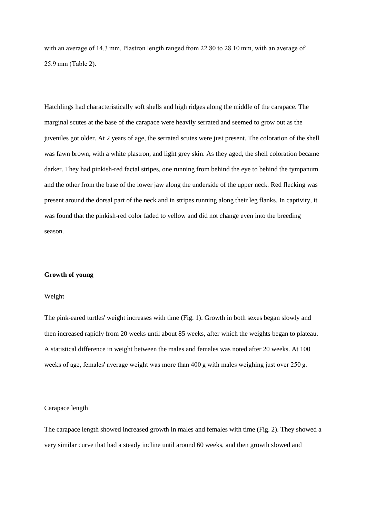with an average of 14.3 mm. Plastron length ranged from 22.80 to 28.10 mm, with an average of 25.9 mm (Table 2).

Hatchlings had characteristically soft shells and high ridges along the middle of the carapace. The marginal scutes at the base of the carapace were heavily serrated and seemed to grow out as the juveniles got older. At 2 years of age, the serrated scutes were just present. The coloration of the shell was fawn brown, with a white plastron, and light grey skin. As they aged, the shell coloration became darker. They had pinkish-red facial stripes, one running from behind the eye to behind the tympanum and the other from the base of the lower jaw along the underside of the upper neck. Red flecking was present around the dorsal part of the neck and in stripes running along their leg flanks. In captivity, it was found that the pinkish-red color faded to yellow and did not change even into the breeding season.

#### **Growth of young**

#### Weight

The pink-eared turtles' weight increases with time (Fig. 1). Growth in both sexes began slowly and then increased rapidly from 20 weeks until about 85 weeks, after which the weights began to plateau. A statistical difference in weight between the males and females was noted after 20 weeks. At 100 weeks of age, females' average weight was more than 400 g with males weighing just over 250 g.

#### Carapace length

The carapace length showed increased growth in males and females with time (Fig. 2). They showed a very similar curve that had a steady incline until around 60 weeks, and then growth slowed and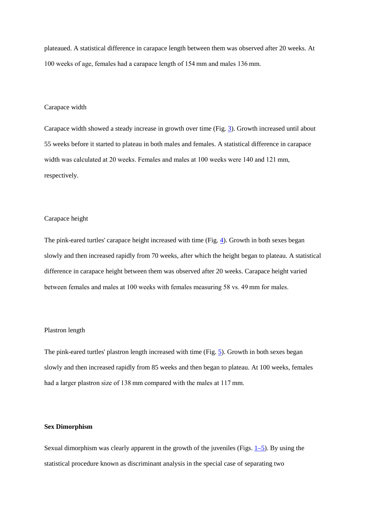plateaued. A statistical difference in carapace length between them was observed after 20 weeks. At 100 weeks of age, females had a carapace length of 154 mm and males 136 mm.

#### Carapace width

Carapace width showed a steady increase in growth over time (Fig. [3\)](http://onlinelibrary.wiley.com/doi/10.1002/zoo.20317/full#fig3). Growth increased until about 55 weeks before it started to plateau in both males and females. A statistical difference in carapace width was calculated at 20 weeks. Females and males at 100 weeks were 140 and 121 mm, respectively.

#### Carapace height

The pink-eared turtles' carapace height increased with time (Fig. [4\)](http://onlinelibrary.wiley.com/doi/10.1002/zoo.20317/full#fig4). Growth in both sexes began slowly and then increased rapidly from 70 weeks, after which the height began to plateau. A statistical difference in carapace height between them was observed after 20 weeks. Carapace height varied between females and males at 100 weeks with females measuring 58 vs. 49 mm for males.

#### Plastron length

The pink-eared turtles' plastron length increased with time (Fig. [5\)](http://onlinelibrary.wiley.com/doi/10.1002/zoo.20317/full#fig5). Growth in both sexes began slowly and then increased rapidly from 85 weeks and then began to plateau. At 100 weeks, females had a larger plastron size of 138 mm compared with the males at 117 mm.

## **Sex Dimorphism**

Sexual dimorphism was clearly apparent in the growth of the juveniles (Figs. [1–5\)](http://onlinelibrary.wiley.com/doi/10.1002/zoo.20317/full#fig1). By using the statistical procedure known as discriminant analysis in the special case of separating two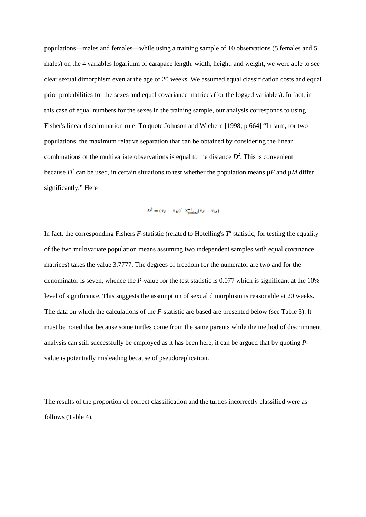populations—males and females—while using a training sample of 10 observations (5 females and 5 males) on the 4 variables logarithm of carapace length, width, height, and weight, we were able to see clear sexual dimorphism even at the age of 20 weeks. We assumed equal classification costs and equal prior probabilities for the sexes and equal covariance matrices (for the logged variables). In fact, in this case of equal numbers for the sexes in the training sample, our analysis corresponds to using Fisher's linear discrimination rule. To quote Johnson and Wichern [1998; p 664] "In sum, for two populations, the maximum relative separation that can be obtained by considering the linear combinations of the multivariate observations is equal to the distance  $D<sup>2</sup>$ . This is convenient because  $D^2$  can be used, in certain situations to test whether the population means  $\mu F$  and  $\mu M$  differ significantly." Here

$$
D^2 = (\bar{x}_F - \bar{x}_M)' S^{-1}_{\text{pooled}}(\bar{x}_F - \bar{x}_M)
$$

In fact, the corresponding Fishers *F*-statistic (related to Hotelling's  $T^2$  statistic, for testing the equality of the two multivariate population means assuming two independent samples with equal covariance matrices) takes the value 3.7777. The degrees of freedom for the numerator are two and for the denominator is seven, whence the *P*-value for the test statistic is 0.077 which is significant at the 10% level of significance. This suggests the assumption of sexual dimorphism is reasonable at 20 weeks. The data on which the calculations of the *F*-statistic are based are presented below (see Table 3). It must be noted that because some turtles come from the same parents while the method of discriminent analysis can still successfully be employed as it has been here, it can be argued that by quoting *P*value is potentially misleading because of pseudoreplication.

The results of the proportion of correct classification and the turtles incorrectly classified were as follows (Table 4).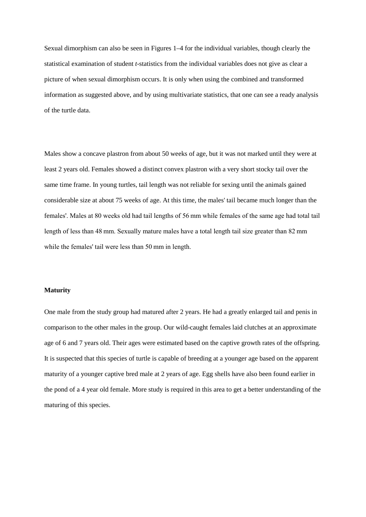Sexual dimorphism can also be seen in Figures 1–4 for the individual variables, though clearly the statistical examination of student *t*-statistics from the individual variables does not give as clear a picture of when sexual dimorphism occurs. It is only when using the combined and transformed information as suggested above, and by using multivariate statistics, that one can see a ready analysis of the turtle data.

Males show a concave plastron from about 50 weeks of age, but it was not marked until they were at least 2 years old. Females showed a distinct convex plastron with a very short stocky tail over the same time frame. In young turtles, tail length was not reliable for sexing until the animals gained considerable size at about 75 weeks of age. At this time, the males' tail became much longer than the females'. Males at 80 weeks old had tail lengths of 56 mm while females of the same age had total tail length of less than 48 mm. Sexually mature males have a total length tail size greater than 82 mm while the females' tail were less than 50 mm in length.

#### **Maturity**

One male from the study group had matured after 2 years. He had a greatly enlarged tail and penis in comparison to the other males in the group. Our wild-caught females laid clutches at an approximate age of 6 and 7 years old. Their ages were estimated based on the captive growth rates of the offspring. It is suspected that this species of turtle is capable of breeding at a younger age based on the apparent maturity of a younger captive bred male at 2 years of age. Egg shells have also been found earlier in the pond of a 4 year old female. More study is required in this area to get a better understanding of the maturing of this species.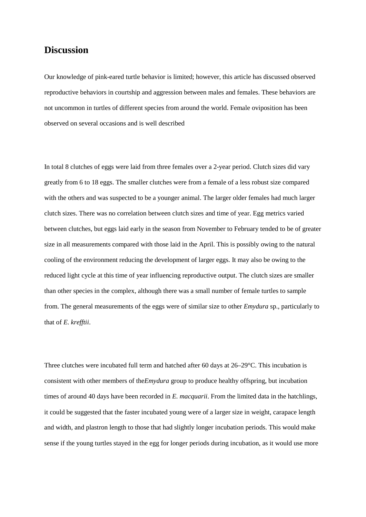# **Discussion**

Our knowledge of pink-eared turtle behavior is limited; however, this article has discussed observed reproductive behaviors in courtship and aggression between males and females. These behaviors are not uncommon in turtles of different species from around the world. Female oviposition has been observed on several occasions and is well described

In total 8 clutches of eggs were laid from three females over a 2-year period. Clutch sizes did vary greatly from 6 to 18 eggs. The smaller clutches were from a female of a less robust size compared with the others and was suspected to be a younger animal. The larger older females had much larger clutch sizes. There was no correlation between clutch sizes and time of year. Egg metrics varied between clutches, but eggs laid early in the season from November to February tended to be of greater size in all measurements compared with those laid in the April. This is possibly owing to the natural cooling of the environment reducing the development of larger eggs. It may also be owing to the reduced light cycle at this time of year influencing reproductive output. The clutch sizes are smaller than other species in the complex, although there was a small number of female turtles to sample from. The general measurements of the eggs were of similar size to other *Emydura* sp., particularly to that of *E. krefftii*.

Three clutches were incubated full term and hatched after 60 days at 26–29°C. This incubation is consistent with other members of the*Emydura* group to produce healthy offspring, but incubation times of around 40 days have been recorded in *E. macquarii*. From the limited data in the hatchlings, it could be suggested that the faster incubated young were of a larger size in weight, carapace length and width, and plastron length to those that had slightly longer incubation periods. This would make sense if the young turtles stayed in the egg for longer periods during incubation, as it would use more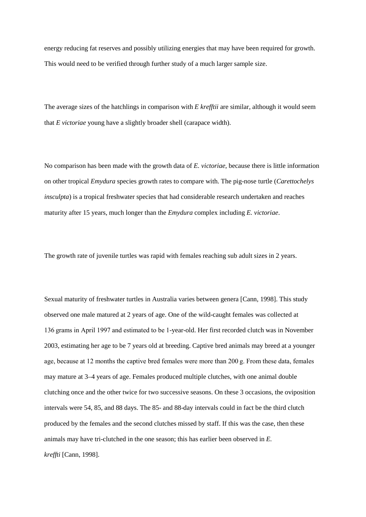energy reducing fat reserves and possibly utilizing energies that may have been required for growth. This would need to be verified through further study of a much larger sample size.

The average sizes of the hatchlings in comparison with *E krefftii* are similar, although it would seem that *E victoriae* young have a slightly broader shell (carapace width).

No comparison has been made with the growth data of *E. victoriae*, because there is little information on other tropical *Emydura* species growth rates to compare with. The pig-nose turtle (*Carettochelys insculpta*) is a tropical freshwater species that had considerable research undertaken and reaches maturity after 15 years, much longer than the *Emydura* complex including *E. victoriae*.

The growth rate of juvenile turtles was rapid with females reaching sub adult sizes in 2 years.

Sexual maturity of freshwater turtles in Australia varies between genera [Cann, 1998]. This study observed one male matured at 2 years of age. One of the wild-caught females was collected at 136 grams in April 1997 and estimated to be 1-year-old. Her first recorded clutch was in November 2003, estimating her age to be 7 years old at breeding. Captive bred animals may breed at a younger age, because at 12 months the captive bred females were more than 200 g. From these data, females may mature at 3–4 years of age. Females produced multiple clutches, with one animal double clutching once and the other twice for two successive seasons. On these 3 occasions, the oviposition intervals were 54, 85, and 88 days. The 85- and 88-day intervals could in fact be the third clutch produced by the females and the second clutches missed by staff. If this was the case, then these animals may have tri-clutched in the one season; this has earlier been observed in *E. kreffti* [Cann, 1998].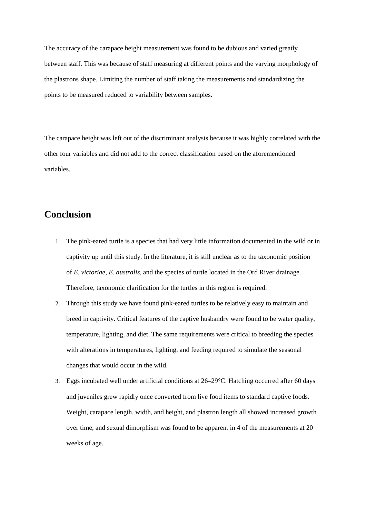The accuracy of the carapace height measurement was found to be dubious and varied greatly between staff. This was because of staff measuring at different points and the varying morphology of the plastrons shape. Limiting the number of staff taking the measurements and standardizing the points to be measured reduced to variability between samples.

The carapace height was left out of the discriminant analysis because it was highly correlated with the other four variables and did not add to the correct classification based on the aforementioned variables.

# **Conclusion**

- 1. The pink-eared turtle is a species that had very little information documented in the wild or in captivity up until this study. In the literature, it is still unclear as to the taxonomic position of *E. victoriae*, *E. australis*, and the species of turtle located in the Ord River drainage. Therefore, taxonomic clarification for the turtles in this region is required.
- 2. Through this study we have found pink-eared turtles to be relatively easy to maintain and breed in captivity. Critical features of the captive husbandry were found to be water quality, temperature, lighting, and diet. The same requirements were critical to breeding the species with alterations in temperatures, lighting, and feeding required to simulate the seasonal changes that would occur in the wild.
- 3. Eggs incubated well under artificial conditions at 26–29°C. Hatching occurred after 60 days and juveniles grew rapidly once converted from live food items to standard captive foods. Weight, carapace length, width, and height, and plastron length all showed increased growth over time, and sexual dimorphism was found to be apparent in 4 of the measurements at 20 weeks of age.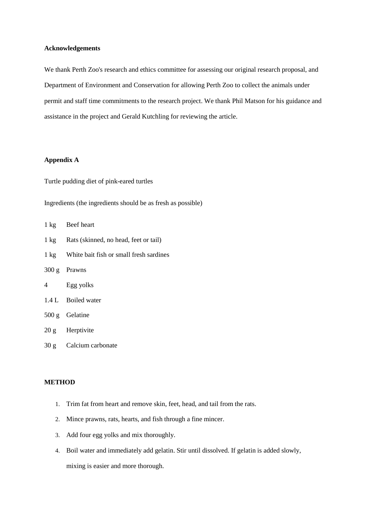#### **Acknowledgements**

We thank Perth Zoo's research and ethics committee for assessing our original research proposal, and Department of Environment and Conservation for allowing Perth Zoo to collect the animals under permit and staff time commitments to the research project. We thank Phil Matson for his guidance and assistance in the project and Gerald Kutchling for reviewing the article.

## **Appendix A**

Turtle pudding diet of pink-eared turtles

- Ingredients (the ingredients should be as fresh as possible)
- 1 kg Beef heart
- 1 kg Rats (skinned, no head, feet or tail)
- 1 kg White bait fish or small fresh sardines
- 300 g Prawns
- 4 Egg yolks
- 1.4 L Boiled water
- 500 g Gelatine
- 20 g Herptivite
- 30 g Calcium carbonate

#### **METHOD**

- 1. Trim fat from heart and remove skin, feet, head, and tail from the rats.
- 2. Mince prawns, rats, hearts, and fish through a fine mincer.
- 3. Add four egg yolks and mix thoroughly.
- 4. Boil water and immediately add gelatin. Stir until dissolved. If gelatin is added slowly, mixing is easier and more thorough.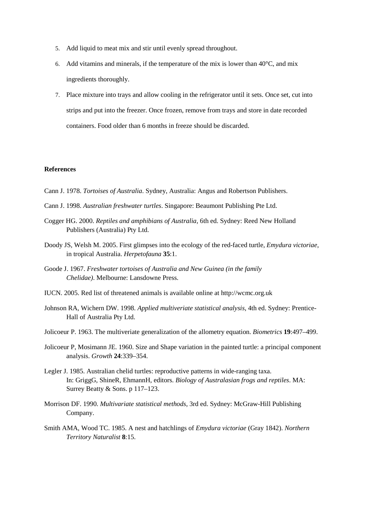- 5. Add liquid to meat mix and stir until evenly spread throughout.
- 6. Add vitamins and minerals, if the temperature of the mix is lower than  $40^{\circ}$ C, and mix ingredients thoroughly.
- 7. Place mixture into trays and allow cooling in the refrigerator until it sets. Once set, cut into strips and put into the freezer. Once frozen, remove from trays and store in date recorded containers. Food older than 6 months in freeze should be discarded.

#### **References**

- Cann J. 1978. *Tortoises of Australia*. Sydney, Australia: Angus and Robertson Publishers.
- Cann J. 1998. *Australian freshwater turtles*. Singapore: Beaumont Publishing Pte Ltd.
- Cogger HG. 2000. *Reptiles and amphibians of Australia,* 6th ed. Sydney: Reed New Holland Publishers (Australia) Pty Ltd.
- Doody JS, Welsh M. 2005. First glimpses into the ecology of the red-faced turtle, *Emydura victoriae*, in tropical Australia. *Herpetofauna* **35**:1.
- Goode J. 1967. *Freshwater tortoises of Australia and New Guinea (in the family Chelidae)*. Melbourne: Lansdowne Press.
- IUCN. 2005. Red list of threatened animals is available online at http://wcmc.org.uk
- Johnson RA, Wichern DW. 1998. *Applied multiveriate statistical analysis*, 4th ed. Sydney: Prentice-Hall of Australia Pty Ltd.
- Jolicoeur P. 1963. The multiveriate generalization of the allometry equation. *Biometrics* **19**:497–499.
- Jolicoeur P, Mosimann JE. 1960. Size and Shape variation in the painted turtle: a principal component analysis. *Growth* **24**:339–354.
- Legler J. 1985. Australian chelid turtles: reproductive patterns in wide-ranging taxa. In: GriggG, ShineR, EhmannH, editors. *Biology of Australasian frogs and reptiles*. MA: Surrey Beatty & Sons. p 117–123.
- Morrison DF. 1990. *Multivariate statistical methods*, 3rd ed. Sydney: McGraw-Hill Publishing Company.
- Smith AMA, Wood TC. 1985. A nest and hatchlings of *Emydura victoriae* (Gray 1842). *Northern Territory Naturalist* **8**:15.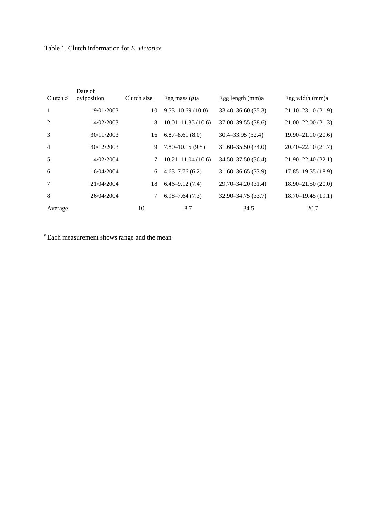|                 | Date of     |             |                       |                       |                       |
|-----------------|-------------|-------------|-----------------------|-----------------------|-----------------------|
| Clutch $\sharp$ | oviposition | Clutch size | Egg mass $(g)a$       | Egg length (mm)a      | Egg width (mm)a       |
| -1              | 19/01/2003  | 10          | $9.53 - 10.69(10.0)$  | 33.40-36.60 (35.3)    | $21.10 - 23.10(21.9)$ |
| 2               | 14/02/2003  | 8           | $10.01 - 11.35(10.6)$ | $37.00 - 39.55(38.6)$ | $21.00 - 22.00(21.3)$ |
| 3               | 30/11/2003  | 16          | $6.87 - 8.61(8.0)$    | $30.4 - 33.95(32.4)$  | $19.90 - 21.10(20.6)$ |
| $\overline{4}$  | 30/12/2003  | 9           | $7.80 - 10.15(9.5)$   | $31.60 - 35.50(34.0)$ | $20.40 - 22.10(21.7)$ |
| 5               | 4/02/2004   |             | $10.21 - 11.04(10.6)$ | 34.50–37.50 (36.4)    | $21.90 - 22.40(22.1)$ |
| 6               | 16/04/2004  | 6           | $4.63 - 7.76(6.2)$    | $31.60 - 36.65(33.9)$ | $17.85 - 19.55(18.9)$ |
| 7               | 21/04/2004  | 18          | $6.46 - 9.12(7.4)$    | 29.70–34.20 (31.4)    | $18.90 - 21.50(20.0)$ |
| 8               | 26/04/2004  |             | $6.98 - 7.64(7.3)$    | 32.90–34.75 (33.7)    | $18.70 - 19.45(19.1)$ |
| Average         |             | 10          | 8.7                   | 34.5                  | 20.7                  |

<sup>a</sup> Each measurement shows range and the mean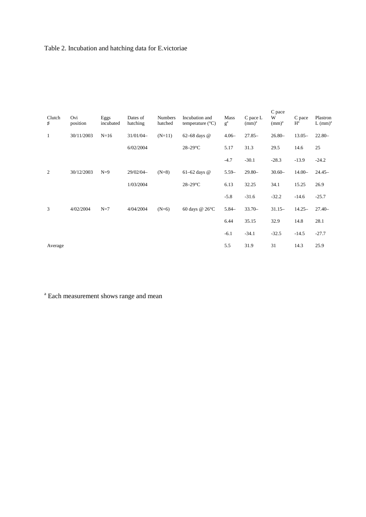# Table 2. Incubation and hatching data for E.victoriae

| Clutch<br>$\sharp$ | Ovi<br>position | Eggs<br>incubated | Dates of<br>hatching | <b>Numbers</b><br>hatched | Incubation and<br>temperature $(^{\circ}C)$ | Mass<br>$g^a$ | $C$ pace $L$<br>(mm) <sup>a</sup> | C pace<br>W<br>(mm) <sup>a</sup> | C pace<br>$H^a$ | Plastron<br>$L$ (mm) <sup><math>a</math></sup> |
|--------------------|-----------------|-------------------|----------------------|---------------------------|---------------------------------------------|---------------|-----------------------------------|----------------------------------|-----------------|------------------------------------------------|
| 1                  | 30/11/2003      | $N=16$            | $31/01/04-$          | $(N=11)$                  | 62-68 days @                                | $4.06 -$      | $27.85-$                          | $26.80-$                         | $13.05-$        | $22.80-$                                       |
|                    |                 |                   | 6/02/2004            |                           | $28-29$ °C                                  | 5.17          | 31.3                              | 29.5                             | 14.6            | 25                                             |
|                    |                 |                   |                      |                           |                                             | $-4.7$        | $-30.1$                           | $-28.3$                          | $-13.9$         | $-24.2$                                        |
| 2                  | 30/12/2003      | $N=9$             | 29/02/04-            | $(N=8)$                   | 61-62 days @                                | $5.59-$       | $29.80-$                          | $30.60-$                         | $14.00 -$       | $24.45-$                                       |
|                    |                 |                   | 1/03/2004            |                           | $28-29$ °C                                  | 6.13          | 32.25                             | 34.1                             | 15.25           | 26.9                                           |
|                    |                 |                   |                      |                           |                                             | $-5.8$        | $-31.6$                           | $-32.2$                          | $-14.6$         | $-25.7$                                        |
| 3                  | 4/02/2004       | $N=7$             | 4/04/2004            | $(N=6)$                   | 60 days @ 26°C                              | $5.84-$       | $33.70-$                          | $31.15-$                         | $14.25 -$       | $27.40-$                                       |
|                    |                 |                   |                      |                           |                                             | 6.44          | 35.15                             | 32.9                             | 14.8            | 28.1                                           |
|                    |                 |                   |                      |                           |                                             | $-6.1$        | $-34.1$                           | $-32.5$                          | $-14.5$         | $-27.7$                                        |
| Average            |                 |                   |                      |                           |                                             | 5.5           | 31.9                              | 31                               | 14.3            | 25.9                                           |

<sup>a</sup> Each measurement shows range and mean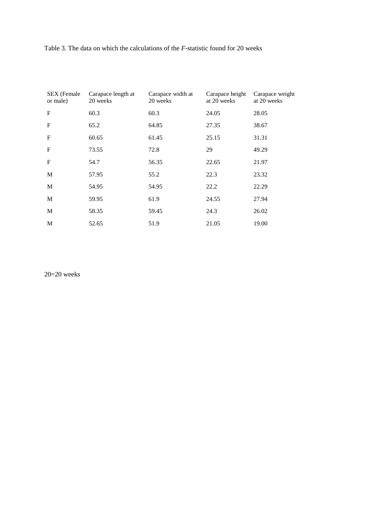|  |  |  |  |  |  |  | Table 3. The data on which the calculations of the F-statistic found for 20 weeks |  |  |  |
|--|--|--|--|--|--|--|-----------------------------------------------------------------------------------|--|--|--|
|--|--|--|--|--|--|--|-----------------------------------------------------------------------------------|--|--|--|

| SEX (Female<br>or male) | Carapace length at<br>20 weeks | Carapace width at<br>20 weeks | Carapace height<br>at 20 weeks | Carapace weight<br>at 20 weeks |
|-------------------------|--------------------------------|-------------------------------|--------------------------------|--------------------------------|
| $\mathbf F$             | 60.3                           | 60.3                          | 24.05                          | 28.05                          |
| $\mathbf F$             | 65.2                           | 64.85                         | 27.35                          | 38.67                          |
| $\mathbf F$             | 60.65                          | 61.45                         | 25.15                          | 31.31                          |
| $\mathbf F$             | 73.55                          | 72.8                          | 29                             | 49.29                          |
| $\mathbf{F}$            | 54.7                           | 56.35                         | 22.65                          | 21.97                          |
| M                       | 57.95                          | 55.2                          | 22.3                           | 23.32                          |
| M                       | 54.95                          | 54.95                         | 22.2                           | 22.29                          |
| M                       | 59.95                          | 61.9                          | 24.55                          | 27.94                          |
| M                       | 58.35                          | 59.45                         | 24.3                           | 26.02                          |
| M                       | 52.65                          | 51.9                          | 21.05                          | 19.00                          |

20=20 weeks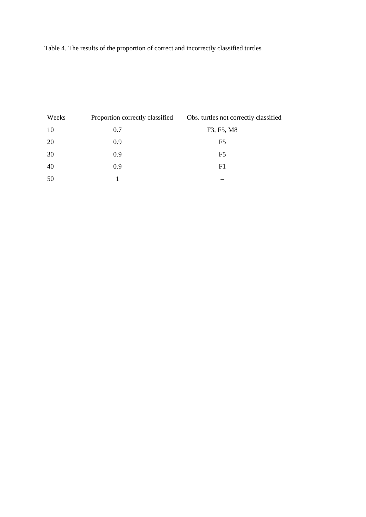Table 4. The results of the proportion of correct and incorrectly classified turtles

| Weeks | Proportion correctly classified | Obs. turtles not correctly classified |
|-------|---------------------------------|---------------------------------------|
| 10    | 0.7                             | F3, F5, M8                            |
| 20    | 0.9                             | F <sub>5</sub>                        |
| 30    | 0.9                             | F <sub>5</sub>                        |
| 40    | 0.9                             | F1                                    |
| 50    |                                 |                                       |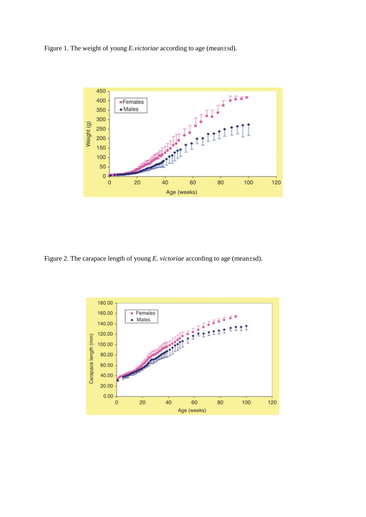Figure 1. The weight of young *E.victoriae* according to age (mean±sd).



Figure 2. The carapace length of young *E. victoriae* according to age (mean±sd).

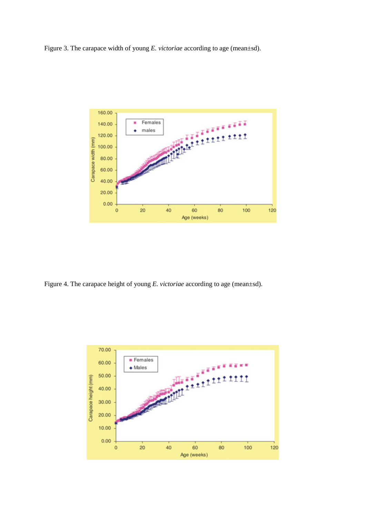Figure 3. The carapace width of young *E. victoriae* according to age (mean±sd).



Figure 4. The carapace height of young *E. victoriae* according to age (mean±sd).